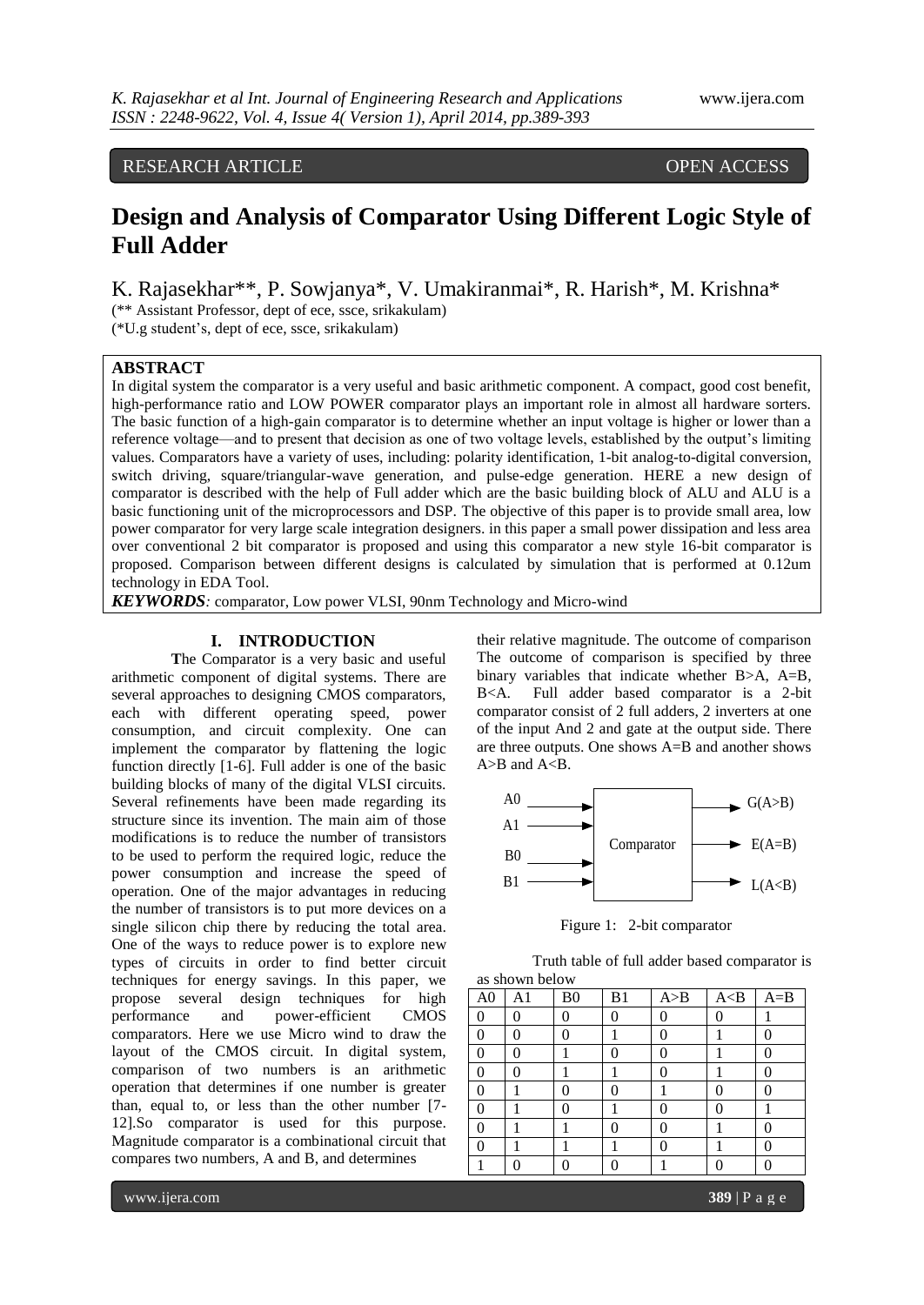# RESEARCH ARTICLE OPEN ACCESS

# **Design and Analysis of Comparator Using Different Logic Style of Full Adder**

K. Rajasekhar\*\*, P. Sowjanya\*, V. Umakiranmai\*, R. Harish\*, M. Krishna\*

(\*\* Assistant Professor, dept of ece, ssce, srikakulam)

(\*U.g student's, dept of ece, ssce, srikakulam)

# **ABSTRACT**

In digital system the comparator is a very useful and basic arithmetic component. A compact, good cost benefit, high-performance ratio and LOW POWER comparator plays an important role in almost all hardware sorters. The basic function of a high-gain comparator is to determine whether an input voltage is higher or lower than a reference voltage—and to present that decision as one of two voltage levels, established by the output's limiting values. Comparators have a variety of uses, including: polarity identification, 1-bit analog-to-digital conversion, switch driving, square/triangular-wave generation, and pulse-edge generation. HERE a new design of comparator is described with the help of Full adder which are the basic building block of ALU and ALU is a basic functioning unit of the microprocessors and DSP. The objective of this paper is to provide small area, low power comparator for very large scale integration designers. in this paper a small power dissipation and less area over conventional 2 bit comparator is proposed and using this comparator a new style 16-bit comparator is proposed. Comparison between different designs is calculated by simulation that is performed at 0.12um technology in EDA Tool.

*KEYWORDS:* comparator, Low power VLSI, 90nm Technology and Micro-wind

## **I. INTRODUCTION**

**T**he Comparator is a very basic and useful arithmetic component of digital systems. There are several approaches to designing CMOS comparators, each with different operating speed, power consumption, and circuit complexity. One can implement the comparator by flattening the logic function directly [1-6]. Full adder is one of the basic building blocks of many of the digital VLSI circuits. Several refinements have been made regarding its structure since its invention. The main aim of those modifications is to reduce the number of transistors to be used to perform the required logic, reduce the power consumption and increase the speed of operation. One of the major advantages in reducing the number of transistors is to put more devices on a single silicon chip there by reducing the total area. One of the ways to reduce power is to explore new types of circuits in order to find better circuit techniques for energy savings. In this paper, we propose several design techniques for high performance and power-efficient CMOS comparators. Here we use Micro wind to draw the layout of the CMOS circuit. In digital system, comparison of two numbers is an arithmetic operation that determines if one number is greater than, equal to, or less than the other number [7- 12].So comparator is used for this purpose. Magnitude comparator is a combinational circuit that compares two numbers, A and B, and determines

their relative magnitude. The outcome of comparison The outcome of comparison is specified by three binary variables that indicate whether B>A, A=B, B<A. Full adder based comparator is a 2-bit comparator consist of 2 full adders, 2 inverters at one of the input And 2 and gate at the output side. There are three outputs. One shows A=B and another shows  $A>B$  and  $A.$ 



Figure 1: 2-bit comparator

Truth table of full adder based comparator is as shown below

| A <sub>0</sub> | A1 | B <sub>0</sub> | B <sub>1</sub> | A>B | A < B | $A = B$          |
|----------------|----|----------------|----------------|-----|-------|------------------|
| $\Omega$       | ∩  | 0              | 0              |     | 0     |                  |
| 0              | ∩  | 0              |                |     |       |                  |
| 0              | 0  |                | 0              | 0   |       | $\left( \right)$ |
| 0              | ∩  |                |                |     |       |                  |
| $\Omega$       |    |                | 0              |     |       |                  |
| 0              |    | 0              |                |     | 0     |                  |
| 0              |    |                | 0              |     |       |                  |
| O              |    |                |                |     |       |                  |
|                |    |                | 0              |     |       |                  |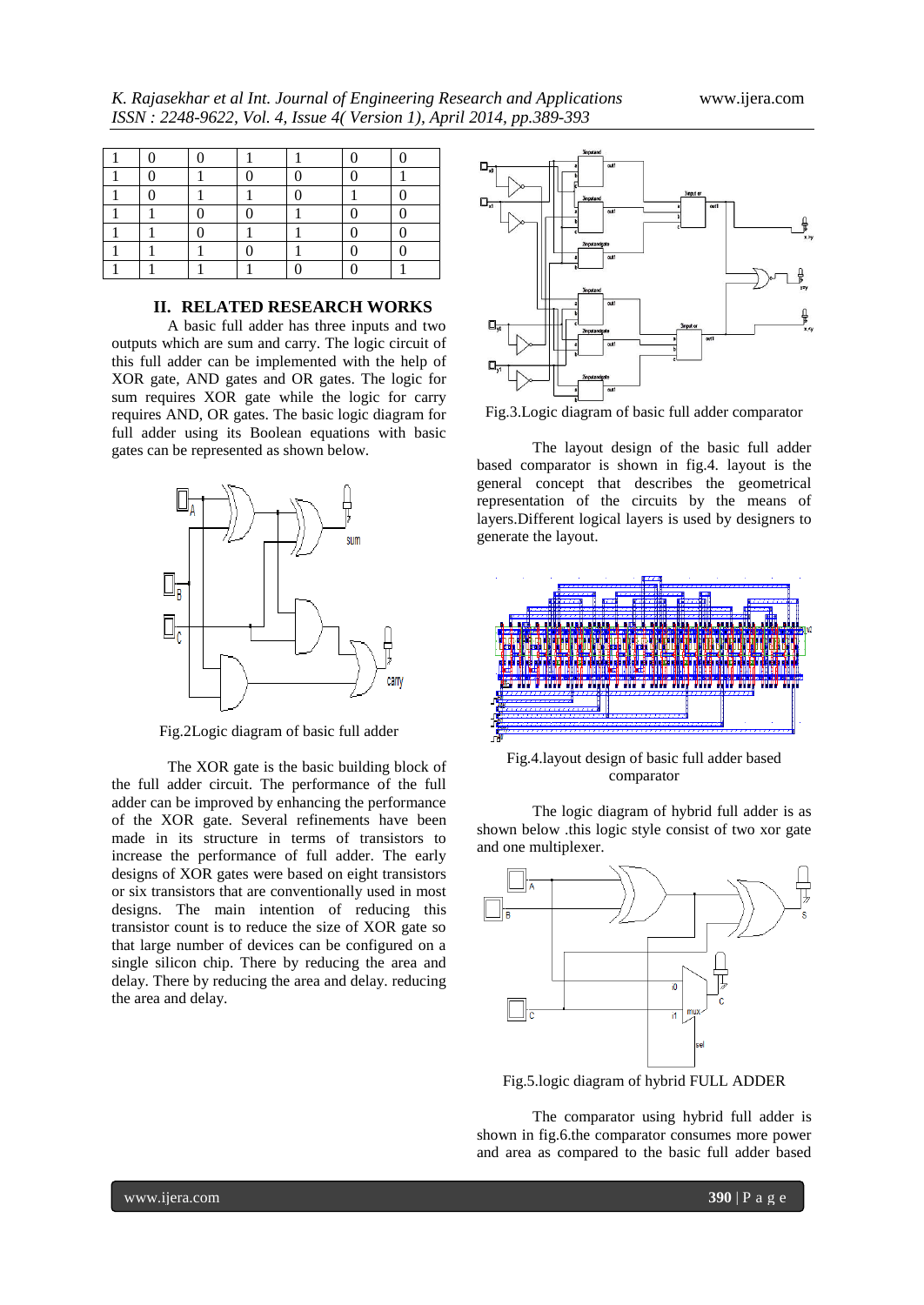*K. Rajasekhar et al Int. Journal of Engineering Research and Applications* www.ijera.com *ISSN : 2248-9622, Vol. 4, Issue 4( Version 1), April 2014, pp.389-393*

# **II. RELATED RESEARCH WORKS**

A basic full adder has three inputs and two outputs which are sum and carry. The logic circuit of this full adder can be implemented with the help of XOR gate, AND gates and OR gates. The logic for sum requires XOR gate while the logic for carry requires AND, OR gates. The basic logic diagram for full adder using its Boolean equations with basic gates can be represented as shown below.



Fig.2Logic diagram of basic full adder

The XOR gate is the basic building block of the full adder circuit. The performance of the full adder can be improved by enhancing the performance of the XOR gate. Several refinements have been made in its structure in terms of transistors to increase the performance of full adder. The early designs of XOR gates were based on eight transistors or six transistors that are conventionally used in most designs. The main intention of reducing this transistor count is to reduce the size of XOR gate so that large number of devices can be configured on a single silicon chip. There by reducing the area and delay. There by reducing the area and delay. reducing the area and delay.



Fig.3.Logic diagram of basic full adder comparator

The layout design of the basic full adder based comparator is shown in fig.4. layout is the general concept that describes the geometrical representation of the circuits by the means of layers.Different logical layers is used by designers to generate the layout.



Fig.4.layout design of basic full adder based comparator

The logic diagram of hybrid full adder is as shown below .this logic style consist of two xor gate and one multiplexer.



Fig.5.logic diagram of hybrid FULL ADDER

The comparator using hybrid full adder is shown in fig.6.the comparator consumes more power and area as compared to the basic full adder based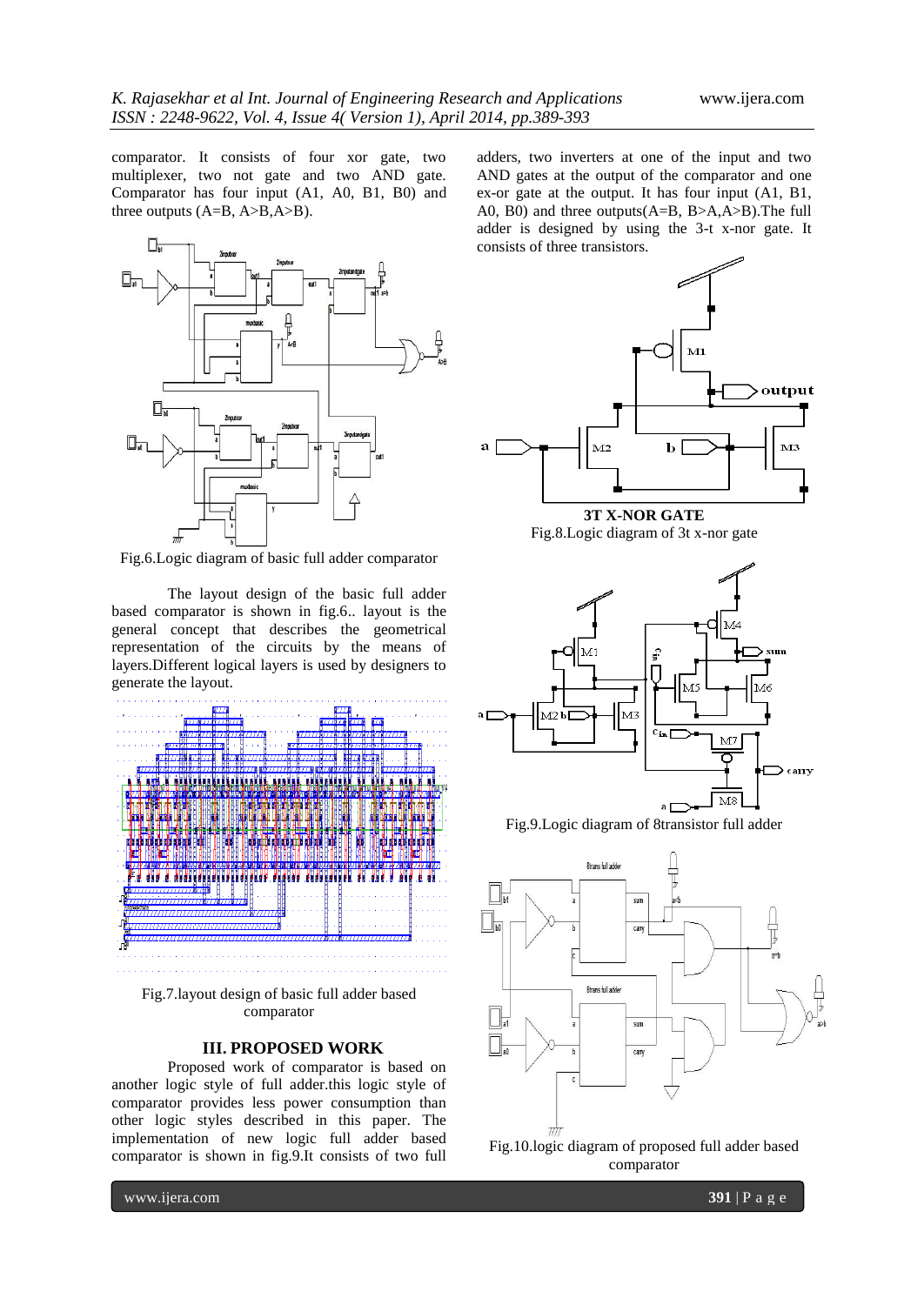comparator. It consists of four xor gate, two multiplexer, two not gate and two AND gate. Comparator has four input (A1, A0, B1, B0) and three outputs (A=B, A>B,A>B).



Fig.6.Logic diagram of basic full adder comparator

The layout design of the basic full adder based comparator is shown in fig.6.. layout is the general concept that describes the geometrical representation of the circuits by the means of layers.Different logical layers is used by designers to generate the layout.



Fig.7.layout design of basic full adder based comparator

### **III. PROPOSED WORK**

Proposed work of comparator is based on another logic style of full adder.this logic style of comparator provides less power consumption than other logic styles described in this paper. The implementation of new logic full adder based comparator is shown in fig.9.It consists of two full

adders, two inverters at one of the input and two AND gates at the output of the comparator and one ex-or gate at the output. It has four input (A1, B1, A0, B0) and three outputs(A=B, B>A,A>B).The full adder is designed by using the 3-t x-nor gate. It consists of three transistors.



**3T X-NOR GATE** Fig.8.Logic diagram of 3t x-nor gate



Fig.9.Logic diagram of 8transistor full adder



comparator

www.ijera.com **391** | P a g e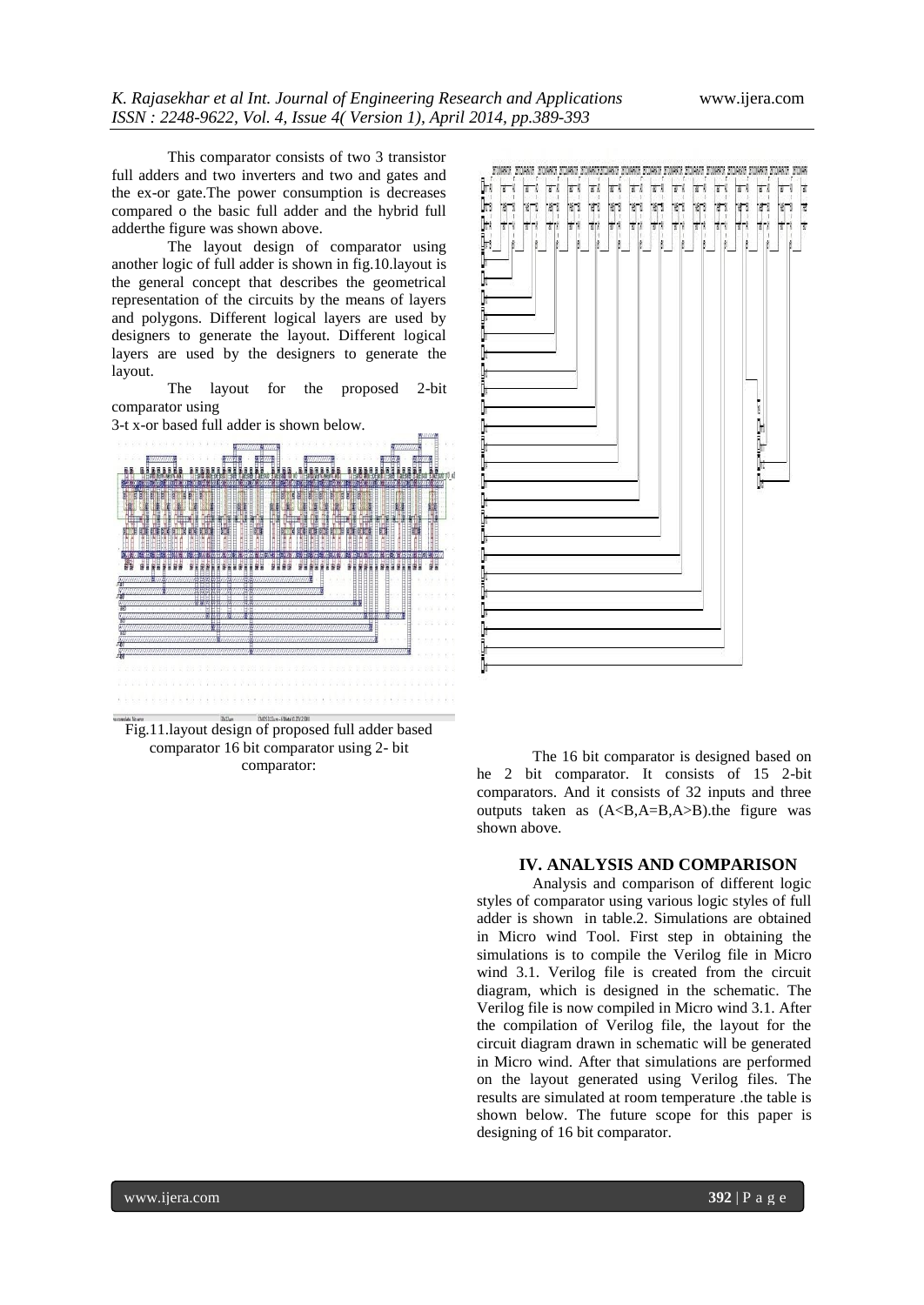This comparator consists of two 3 transistor full adders and two inverters and two and gates and the ex-or gate.The power consumption is decreases compared o the basic full adder and the hybrid full adderthe figure was shown above.

The layout design of comparator using another logic of full adder is shown in fig.10.layout is the general concept that describes the geometrical representation of the circuits by the means of layers and polygons. Different logical layers are used by designers to generate the layout. Different logical layers are used by the designers to generate the layout.

The layout for the proposed 2-bit comparator using

3-t x-or based full adder is shown below.



**Fig.11.layout design of proposed full adder based** comparator 16 bit comparator using 2- bit comparator:



The 16 bit comparator is designed based on he 2 bit comparator. It consists of 15 2-bit comparators. And it consists of 32 inputs and three outputs taken as  $(A< B, A=B, A>B)$ .the figure was shown above.

#### **IV. ANALYSIS AND COMPARISON**

Analysis and comparison of different logic styles of comparator using various logic styles of full adder is shown in table.2. Simulations are obtained in Micro wind Tool. First step in obtaining the simulations is to compile the Verilog file in Micro wind 3.1. Verilog file is created from the circuit diagram, which is designed in the schematic. The Verilog file is now compiled in Micro wind 3.1. After the compilation of Verilog file, the layout for the circuit diagram drawn in schematic will be generated in Micro wind. After that simulations are performed on the layout generated using Verilog files. The results are simulated at room temperature .the table is shown below. The future scope for this paper is designing of 16 bit comparator.